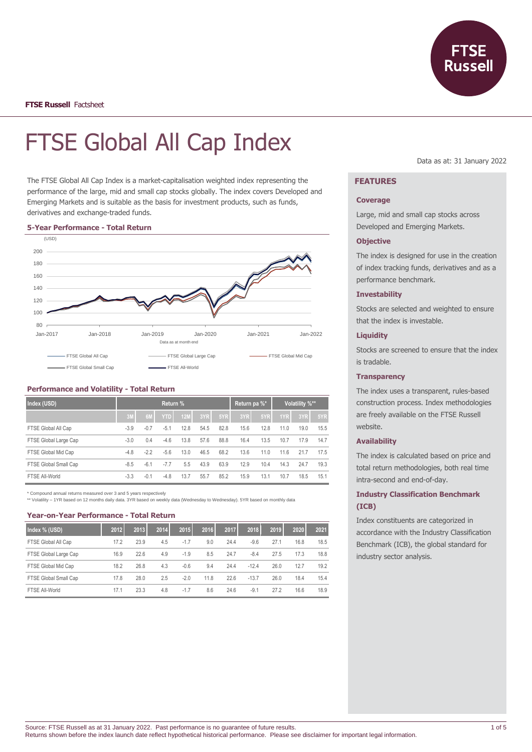

# FTSE Global All Cap Index

The FTSE Global All Cap Index is a market-capitalisation weighted index representing the performance of the large, mid and small cap stocks globally. The index covers Developed and Emerging Markets and is suitable as the basis for investment products, such as funds, derivatives and exchange-traded funds.

#### **5-Year Performance - Total Return**



## **Performance and Volatility - Total Return**

| Index (USD)           | Return % |        |            |            |      |      | Return pa %* |      | Volatility %** |      |      |
|-----------------------|----------|--------|------------|------------|------|------|--------------|------|----------------|------|------|
|                       | 3M       | 6M     | <b>YTD</b> | <b>12M</b> | 3YR  | 5YR  | 3YR          | 5YR  | 1YR            | 3YR  | 5YR  |
| FTSE Global All Cap   | $-3.9$   | $-0.7$ | $-5.1$     | 12.8       | 54.5 | 82.8 | 15.6         | 12.8 | 11.0           | 19.0 | 15.5 |
| FTSE Global Large Cap | $-3.0$   | 0.4    | $-4.6$     | 13.8       | 57.6 | 88.8 | 16.4         | 13.5 | 10.7           | 17.9 | 14.7 |
| FTSE Global Mid Cap   | $-4.8$   | $-2.2$ | $-5.6$     | 13.0       | 46.5 | 68.2 | 13.6         | 11.0 | 11.6           | 21.7 | 17.5 |
| FTSE Global Small Cap | $-8.5$   | $-6.1$ | $-7.7$     | 5.5        | 43.9 | 63.9 | 12.9         | 10.4 | 14.3           | 24.7 | 19.3 |
| FTSE All-World        | $-3.3$   | $-0.1$ | $-4.8$     | 13.7       | 55.7 | 85.2 | 15.9         | 13.1 | 10.7           | 18.5 | 15.1 |

\* Compound annual returns measured over 3 and 5 years respectively \*\* Volatility – 1YR based on 12 months daily data. 3YR based on weekly data (Wednesday to Wednesday). 5YR based on monthly data

#### **Year-on-Year Performance - Total Return**

| Index % (USD)         | 2012 | 2013 | 2014 | 2015   | 2016 | 2017 | 2018    | 2019 | 2020 | 2021 |
|-----------------------|------|------|------|--------|------|------|---------|------|------|------|
| FTSE Global All Cap   | 17.2 | 23.9 | 4.5  | $-1.7$ | 9.0  | 24.4 | $-9.6$  | 27.1 | 16.8 | 18.5 |
| FTSE Global Large Cap | 16.9 | 22.6 | 4.9  | $-1.9$ | 8.5  | 24.7 | $-8.4$  | 27.5 | 17.3 | 18.8 |
| FTSE Global Mid Cap   | 18.2 | 26.8 | 4.3  | $-0.6$ | 9.4  | 24.4 | $-12.4$ | 26.0 | 12.7 | 19.2 |
| FTSE Global Small Cap | 17.8 | 28.0 | 2.5  | $-2.0$ | 11.8 | 22.6 | $-13.7$ | 26.0 | 18.4 | 15.4 |
| FTSE All-World        | 17.1 | 23.3 | 4.8  | $-1.7$ | 8.6  | 24.6 | $-9.1$  | 27.2 | 16.6 | 18.9 |

Data as at: 31 January 2022

# **FEATURES**

## **Coverage**

Large, mid and small cap stocks across Developed and Emerging Markets.

## **Objective**

The index is designed for use in the creation of index tracking funds, derivatives and as a performance benchmark.

## **Investability**

Stocks are selected and weighted to ensure that the index is investable.

## **Liquidity**

Stocks are screened to ensure that the index is tradable.

# **Transparency**

The index uses a transparent, rules-based construction process. Index methodologies are freely available on the FTSE Russell website.

## **Availability**

The index is calculated based on price and total return methodologies, both real time intra-second and end-of-day.

# **Industry Classification Benchmark (ICB)**

Index constituents are categorized in accordance with the Industry Classification Benchmark (ICB), the global standard for industry sector analysis.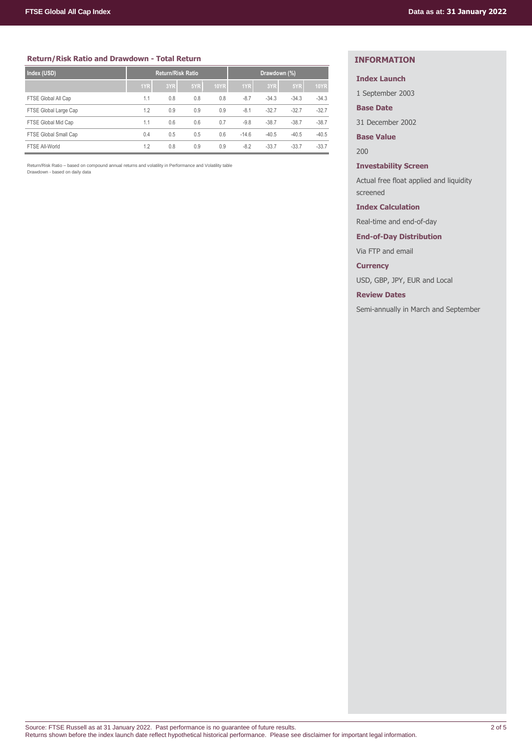## **Return/Risk Ratio and Drawdown - Total Return**

| Index (USD)           | <b>Return/Risk Ratio</b> |     |     |             | Drawdown (%) |         |         |             |
|-----------------------|--------------------------|-----|-----|-------------|--------------|---------|---------|-------------|
|                       | 1YR                      | 3YR | 5YR | <b>10YR</b> | 1YR          | 3YR     | 5YR     | <b>10YR</b> |
| FTSE Global All Cap   | 1.1                      | 0.8 | 0.8 | 0.8         | $-8.7$       | $-34.3$ | $-34.3$ | $-34.3$     |
| FTSE Global Large Cap | 1.2                      | 0.9 | 0.9 | 0.9         | $-8.1$       | $-32.7$ | $-32.7$ | $-32.7$     |
| FTSE Global Mid Cap   | 1.1                      | 0.6 | 0.6 | 0.7         | $-9.8$       | $-38.7$ | $-38.7$ | $-38.7$     |
| FTSE Global Small Cap | 0.4                      | 0.5 | 0.5 | 0.6         | $-14.6$      | $-40.5$ | $-40.5$ | $-40.5$     |
| FTSE All-World        | 1.2                      | 0.8 | 0.9 | 0.9         | $-8.2$       | $-33.7$ | $-33.7$ | $-33.7$     |

Return/Risk Ratio – based on compound annual returns and volatility in Performance and Volatility table Drawdown - based on daily data

# **INFORMATION**

## **Index Launch**

1 September 2003

**Base Date**

31 December 2002

**Base Value**

200

## **Investability Screen**

Actual free float applied and liquidity screened

## **Index Calculation**

Real-time and end-of-day

## **End-of-Day Distribution**

Via FTP and email

**Currency**

USD, GBP, JPY, EUR and Local

**Review Dates**

Semi-annually in March and September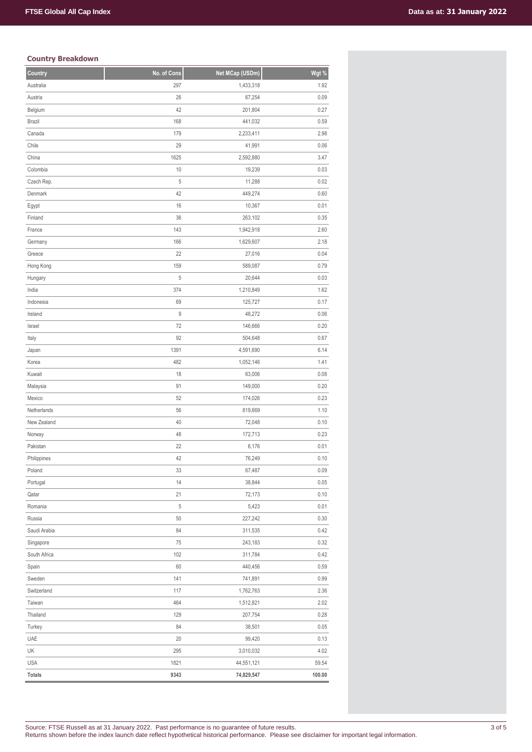# **Country Breakdown**

| Country       | No. of Cons | Net MCap (USDm) | Wgt %  |
|---------------|-------------|-----------------|--------|
| Australia     | 297         | 1,433,318       | 1.92   |
| Austria       | 26          | 67,254          | 0.09   |
| Belgium       | 42          | 201,804         | 0.27   |
| <b>Brazil</b> | 168         | 441,032         | 0.59   |
| Canada        | 179         | 2,233,411       | 2.98   |
| Chile         | 29          | 41,991          | 0.06   |
| China         | 1625        | 2,592,880       | 3.47   |
| Colombia      | 10          | 19,239          | 0.03   |
| Czech Rep.    | 5           | 11,288          | 0.02   |
| Denmark       | 42          | 449,274         | 0.60   |
| Egypt         | 16          | 10,367          | 0.01   |
| Finland       | 36          | 263,102         | 0.35   |
| France        | 143         | 1,942,918       | 2.60   |
| Germany       | 166         | 1,629,607       | 2.18   |
| Greece        | 22          | 27,016          | 0.04   |
| Hong Kong     | 159         | 589,087         | 0.79   |
| Hungary       | 5           | 20,644          | 0.03   |
| India         | 374         | 1,210,849       | 1.62   |
| Indonesia     | 69          | 125,727         | 0.17   |
| Ireland       | 9           | 48,272          | 0.06   |
| Israel        | 72          | 146,666         | 0.20   |
| Italy         | 92          | 504,648         | 0.67   |
| Japan         | 1391        | 4,591,690       | 6.14   |
| Korea         | 482         | 1,052,146       | 1.41   |
| Kuwait        | 18          | 63,006          | 0.08   |
| Malaysia      | 91          | 149,000         | 0.20   |
| Mexico        | 52          | 174,026         | 0.23   |
| Netherlands   | 56          | 819,669         | 1.10   |
| New Zealand   | 40          | 72,048          | 0.10   |
| Norway        | 48          | 172,713         | 0.23   |
| Pakistan      | 22          | 6,176           | 0.01   |
| Philippines   | 42          | 76,249          | 0.10   |
| Poland        | 33          | 67,487          | 0.09   |
| Portugal      | 14          | 38,844          | 0.05   |
| Qatar         | 21          | 72,173          | 0.10   |
| Romania       | 5           | 5,423           | 0.01   |
| Russia        | 50          | 227,242         | 0.30   |
| Saudi Arabia  | 84          | 311,535         | 0.42   |
| Singapore     | 75          | 243,183         | 0.32   |
| South Africa  | 102         | 311,784         | 0.42   |
| Spain         | 60          | 440,456         | 0.59   |
| Sweden        | 141         | 741,891         | 0.99   |
| Switzerland   | 117         | 1,762,763       | 2.36   |
| Taiwan        | 464         | 1,512,821       | 2.02   |
| Thailand      | 129         | 207,754         | 0.28   |
| Turkey        | 84          | 38,501          | 0.05   |
| UAE           | 20          | 99,420          | 0.13   |
| UK            | 295         | 3,010,032       | 4.02   |
| <b>USA</b>    | 1821        | 44,551,121      | 59.54  |
| <b>Totals</b> | 9343        | 74,829,547      | 100.00 |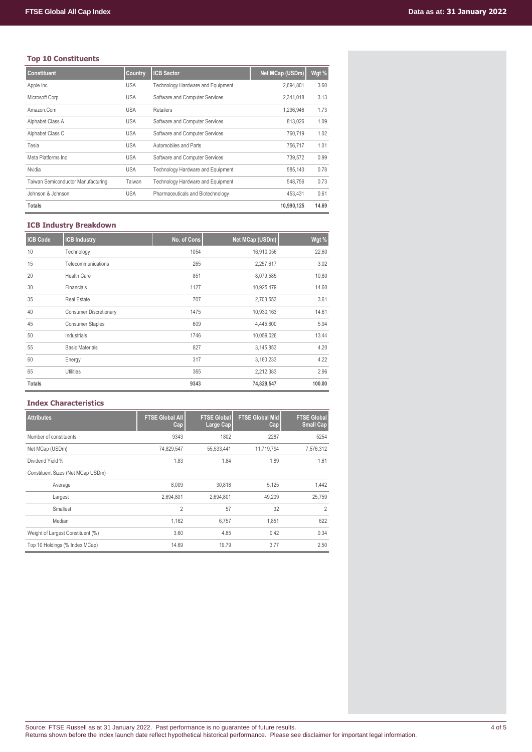# **Top 10 Constituents**

| <b>Constituent</b>                 | Country    | <b>ICB Sector</b>                        | Net MCap (USDm) | Wgt % |
|------------------------------------|------------|------------------------------------------|-----------------|-------|
| Apple Inc.                         | <b>USA</b> | <b>Technology Hardware and Equipment</b> | 2,694,801       | 3.60  |
| Microsoft Corp                     | <b>USA</b> | Software and Computer Services           | 2,341,018       | 3.13  |
| Amazon.Com                         | <b>USA</b> | Retailers                                | 1,296,946       | 1.73  |
| Alphabet Class A                   | <b>USA</b> | Software and Computer Services           | 813.026         | 1.09  |
| Alphabet Class C                   | <b>USA</b> | Software and Computer Services           | 760.719         | 1.02  |
| Tesla                              | <b>USA</b> | Automobiles and Parts                    | 756,717         | 1.01  |
| Meta Platforms Inc.                | <b>USA</b> | Software and Computer Services           | 739.572         | 0.99  |
| Nvidia                             | <b>USA</b> | Technology Hardware and Equipment        | 585.140         | 0.78  |
| Taiwan Semiconductor Manufacturing | Taiwan     | Technology Hardware and Equipment        | 548.756         | 0.73  |
| Johnson & Johnson                  | <b>USA</b> | Pharmaceuticals and Biotechnology        | 453.431         | 0.61  |
| Totals                             |            |                                          | 10.990.125      | 14.69 |

# **ICB Industry Breakdown**

| <b>ICB Code</b> | <b>ICB Industry</b>           | No. of Cons | Net MCap (USDm) | Wgt %  |
|-----------------|-------------------------------|-------------|-----------------|--------|
| 10              | Technology                    | 1054        | 16,910,056      | 22.60  |
| 15              | Telecommunications            | 265         | 2,257,617       | 3.02   |
| 20              | <b>Health Care</b>            | 851         | 8,079,585       | 10.80  |
| 30              | Financials                    | 1127        | 10,925,479      | 14.60  |
| 35              | <b>Real Estate</b>            | 707         | 2,703,553       | 3.61   |
| 40              | <b>Consumer Discretionary</b> | 1475        | 10,930,163      | 14.61  |
| 45              | <b>Consumer Staples</b>       | 609         | 4,445,600       | 5.94   |
| 50              | Industrials                   | 1746        | 10,059,026      | 13.44  |
| 55              | <b>Basic Materials</b>        | 827         | 3,145,853       | 4.20   |
| 60              | Energy                        | 317         | 3,160,233       | 4.22   |
| 65              | Utilities                     | 365         | 2,212,383       | 2.96   |
| <b>Totals</b>   |                               | 9343        | 74,829,547      | 100.00 |

## **Index Characteristics**

| <b>Attributes</b>                 | <b>FTSE Global All</b><br>Cap | <b>FTSE Global</b><br>Large Cap | <b>FTSE Global Mid</b><br>Cap | <b>FTSE Global</b><br><b>Small Cap</b> |
|-----------------------------------|-------------------------------|---------------------------------|-------------------------------|----------------------------------------|
| Number of constituents            | 9343                          | 1802                            | 2287                          | 5254                                   |
| Net MCap (USDm)                   | 74,829,547                    | 55,533,441                      | 11.719.794                    | 7,576,312                              |
| Dividend Yield %                  | 1.83                          | 1.84                            | 1.89                          | 1.61                                   |
| Constituent Sizes (Net MCap USDm) |                               |                                 |                               |                                        |
| Average                           | 8,009                         | 30,818                          | 5,125                         | 1,442                                  |
| Largest                           | 2,694,801                     | 2,694,801                       | 49,209                        | 25,759                                 |
| Smallest                          | 2                             | 57                              | 32                            | $\overline{2}$                         |
| Median                            | 1,162                         | 6,757                           | 1,851                         | 622                                    |
| Weight of Largest Constituent (%) | 3.60                          | 4.85                            | 0.42                          | 0.34                                   |
| Top 10 Holdings (% Index MCap)    | 14.69                         | 19.79                           | 3.77                          | 2.50                                   |